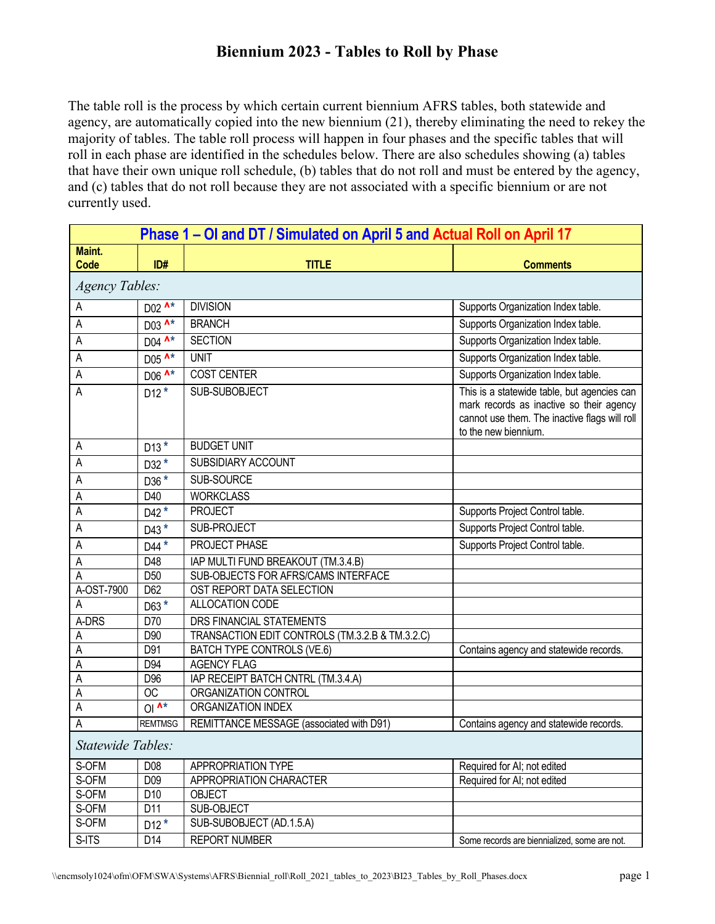The table roll is the process by which certain current biennium AFRS tables, both statewide and agency, are automatically copied into the new biennium (21), thereby eliminating the need to rekey the majority of tables. The table roll process will happen in four phases and the specific tables that will roll in each phase are identified in the schedules below. There are also schedules showing (a) tables that have their own unique roll schedule, (b) tables that do not roll and must be entered by the agency, and (c) tables that do not roll because they are not associated with a specific biennium or are not currently used.

| Phase 1 – OI and DT / Simulated on April 5 and Actual Roll on April 17 |                                |                                                 |                                                                                                                                                                  |
|------------------------------------------------------------------------|--------------------------------|-------------------------------------------------|------------------------------------------------------------------------------------------------------------------------------------------------------------------|
| Maint.                                                                 |                                |                                                 |                                                                                                                                                                  |
| <b>Code</b>                                                            | ID#                            | <b>TITLE</b>                                    | <b>Comments</b>                                                                                                                                                  |
| <b>Agency Tables:</b>                                                  |                                |                                                 |                                                                                                                                                                  |
| A                                                                      | D02 ^*                         | <b>DIVISION</b>                                 | Supports Organization Index table.                                                                                                                               |
| Α                                                                      | D03 A*                         | <b>BRANCH</b>                                   | Supports Organization Index table.                                                                                                                               |
| A                                                                      | D04 ^*                         | <b>SECTION</b>                                  | Supports Organization Index table.                                                                                                                               |
| A                                                                      | D05 A*                         | <b>UNIT</b>                                     | Supports Organization Index table.                                                                                                                               |
| A                                                                      | $D06$ $\overline{\mathbf{A*}}$ | <b>COST CENTER</b>                              | Supports Organization Index table.                                                                                                                               |
| A                                                                      | $D12*$                         | SUB-SUBOBJECT                                   | This is a statewide table, but agencies can<br>mark records as inactive so their agency<br>cannot use them. The inactive flags will roll<br>to the new biennium. |
| A                                                                      | $D13*$                         | <b>BUDGET UNIT</b>                              |                                                                                                                                                                  |
| А                                                                      | $D32*$                         | <b>SUBSIDIARY ACCOUNT</b>                       |                                                                                                                                                                  |
| Α                                                                      | D36 *                          | SUB-SOURCE                                      |                                                                                                                                                                  |
| A                                                                      | D40                            | <b>WORKCLASS</b>                                |                                                                                                                                                                  |
| А                                                                      | D42 $*$                        | <b>PROJECT</b>                                  | Supports Project Control table.                                                                                                                                  |
| А                                                                      | $D43*$                         | SUB-PROJECT                                     | Supports Project Control table.                                                                                                                                  |
| A                                                                      | D44 *                          | PROJECT PHASE                                   | Supports Project Control table.                                                                                                                                  |
| Α                                                                      | D48                            | IAP MULTI FUND BREAKOUT (TM.3.4.B)              |                                                                                                                                                                  |
| Α                                                                      | D <sub>50</sub>                | SUB-OBJECTS FOR AFRS/CAMS INTERFACE             |                                                                                                                                                                  |
| A-OST-7900                                                             | D <sub>62</sub>                | OST REPORT DATA SELECTION                       |                                                                                                                                                                  |
| Α                                                                      | D63 *                          | ALLOCATION CODE                                 |                                                                                                                                                                  |
| A-DRS                                                                  | D70                            | DRS FINANCIAL STATEMENTS                        |                                                                                                                                                                  |
| Α                                                                      | D90                            | TRANSACTION EDIT CONTROLS (TM.3.2.B & TM.3.2.C) |                                                                                                                                                                  |
| A                                                                      | D91                            | BATCH TYPE CONTROLS (VE.6)                      | Contains agency and statewide records.                                                                                                                           |
| Α                                                                      | D94                            | <b>AGENCY FLAG</b>                              |                                                                                                                                                                  |
| A                                                                      | D <sub>96</sub>                | IAP RECEIPT BATCH CNTRL (TM.3.4.A)              |                                                                                                                                                                  |
| A                                                                      | <b>OC</b>                      | ORGANIZATION CONTROL                            |                                                                                                                                                                  |
| Α                                                                      | O <sup>1</sup>                 | <b>ORGANIZATION INDEX</b>                       |                                                                                                                                                                  |
| A                                                                      | <b>REMTMSG</b>                 | REMITTANCE MESSAGE (associated with D91)        | Contains agency and statewide records.                                                                                                                           |
| Statewide Tables:                                                      |                                |                                                 |                                                                                                                                                                  |
| S-OFM                                                                  | D08                            | APPROPRIATION TYPE                              | Required for AI; not edited                                                                                                                                      |
| S-OFM                                                                  | D09                            | APPROPRIATION CHARACTER                         | Required for AI; not edited                                                                                                                                      |
| S-OFM                                                                  | D10                            | <b>OBJECT</b>                                   |                                                                                                                                                                  |
| S-OFM                                                                  | D11                            | SUB-OBJECT                                      |                                                                                                                                                                  |
| S-OFM                                                                  | $D12*$                         | SUB-SUBOBJECT (AD.1.5.A)                        |                                                                                                                                                                  |
| S-ITS                                                                  | D14                            | <b>REPORT NUMBER</b>                            | Some records are biennialized, some are not.                                                                                                                     |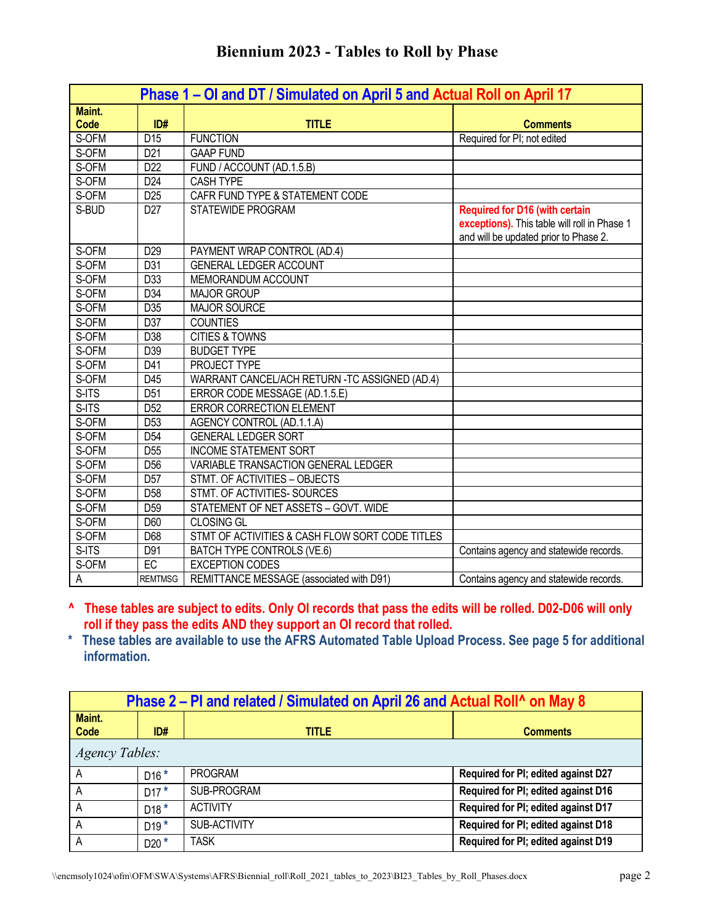| <b>Biennium 2023 - Tables to Roll by Phase</b> |  |  |  |  |
|------------------------------------------------|--|--|--|--|
|------------------------------------------------|--|--|--|--|

|             | Phase 1 – OI and DT / Simulated on April 5 and Actual Roll on April 17 |                                                 |                                                                                                                                |  |
|-------------|------------------------------------------------------------------------|-------------------------------------------------|--------------------------------------------------------------------------------------------------------------------------------|--|
| Maint.      |                                                                        |                                                 |                                                                                                                                |  |
| <b>Code</b> | ID#                                                                    | <b>TITLE</b>                                    | <b>Comments</b>                                                                                                                |  |
| S-OFM       | D <sub>15</sub>                                                        | <b>FUNCTION</b>                                 | Required for PI; not edited                                                                                                    |  |
| S-OFM       | D <sub>21</sub>                                                        | <b>GAAP FUND</b>                                |                                                                                                                                |  |
| S-OFM       | D <sub>22</sub>                                                        | FUND / ACCOUNT (AD.1.5.B)                       |                                                                                                                                |  |
| S-OFM       | D24                                                                    | <b>CASH TYPE</b>                                |                                                                                                                                |  |
| S-OFM       | D <sub>25</sub>                                                        | CAFR FUND TYPE & STATEMENT CODE                 |                                                                                                                                |  |
| S-BUD       | D <sub>27</sub>                                                        | STATEWIDE PROGRAM                               | <b>Required for D16 (with certain</b><br>exceptions). This table will roll in Phase 1<br>and will be updated prior to Phase 2. |  |
| S-OFM       | D <sub>29</sub>                                                        | PAYMENT WRAP CONTROL (AD.4)                     |                                                                                                                                |  |
| S-OFM       | D31                                                                    | <b>GENERAL LEDGER ACCOUNT</b>                   |                                                                                                                                |  |
| S-OFM       | D33                                                                    | MEMORANDUM ACCOUNT                              |                                                                                                                                |  |
| S-OFM       | D34                                                                    | <b>MAJOR GROUP</b>                              |                                                                                                                                |  |
| S-OFM       | D35                                                                    | <b>MAJOR SOURCE</b>                             |                                                                                                                                |  |
| S-OFM       | D37                                                                    | <b>COUNTIES</b>                                 |                                                                                                                                |  |
| S-OFM       | D38                                                                    | <b>CITIES &amp; TOWNS</b>                       |                                                                                                                                |  |
| S-OFM       | D39                                                                    | <b>BUDGET TYPE</b>                              |                                                                                                                                |  |
| S-OFM       | D41                                                                    | PROJECT TYPE                                    |                                                                                                                                |  |
| S-OFM       | D45                                                                    | WARRANT CANCEL/ACH RETURN -TC ASSIGNED (AD.4)   |                                                                                                                                |  |
| S-ITS       | D <sub>51</sub>                                                        | ERROR CODE MESSAGE (AD.1.5.E)                   |                                                                                                                                |  |
| S-ITS       | D <sub>52</sub>                                                        | ERROR CORRECTION ELEMENT                        |                                                                                                                                |  |
| S-OFM       | D <sub>53</sub>                                                        | AGENCY CONTROL (AD.1.1.A)                       |                                                                                                                                |  |
| S-OFM       | D <sub>54</sub>                                                        | <b>GENERAL LEDGER SORT</b>                      |                                                                                                                                |  |
| S-OFM       | D <sub>55</sub>                                                        | <b>INCOME STATEMENT SORT</b>                    |                                                                                                                                |  |
| S-OFM       | D <sub>56</sub>                                                        | VARIABLE TRANSACTION GENERAL LEDGER             |                                                                                                                                |  |
| S-OFM       | D <sub>57</sub>                                                        | STMT. OF ACTIVITIES - OBJECTS                   |                                                                                                                                |  |
| S-OFM       | D <sub>58</sub>                                                        | STMT. OF ACTIVITIES- SOURCES                    |                                                                                                                                |  |
| S-OFM       | D <sub>59</sub>                                                        | STATEMENT OF NET ASSETS - GOVT. WIDE            |                                                                                                                                |  |
| S-OFM       | D60                                                                    | <b>CLOSING GL</b>                               |                                                                                                                                |  |
| S-OFM       | D68                                                                    | STMT OF ACTIVITIES & CASH FLOW SORT CODE TITLES |                                                                                                                                |  |
| S-ITS       | D91                                                                    | BATCH TYPE CONTROLS (VE.6)                      | Contains agency and statewide records.                                                                                         |  |
| S-OFM       | EC                                                                     | <b>EXCEPTION CODES</b>                          |                                                                                                                                |  |
| Α           | <b>REMTMSG</b>                                                         | REMITTANCE MESSAGE (associated with D91)        | Contains agency and statewide records.                                                                                         |  |

- **^ These tables are subject to edits. Only OI records that pass the edits will be rolled. D02-D06 will only roll if they pass the edits AND they support an OI record that rolled.**
- **\* These tables are available to use the AFRS Automated Table Upload Process. See page 5 for additional information.**

| Phase 2 – PI and related / Simulated on April 26 and Actual Roll <sup>1</sup> on May 8 |        |                 |                                     |
|----------------------------------------------------------------------------------------|--------|-----------------|-------------------------------------|
| Maint.<br>Code                                                                         | ID#    | <b>TITLE</b>    | <b>Comments</b>                     |
| <b>Agency Tables:</b>                                                                  |        |                 |                                     |
| A                                                                                      | $D16*$ | <b>PROGRAM</b>  | Required for PI; edited against D27 |
| A                                                                                      | $D17*$ | SUB-PROGRAM     | Required for PI; edited against D16 |
| А                                                                                      | $D18*$ | <b>ACTIVITY</b> | Required for PI; edited against D17 |
| А                                                                                      | $D19*$ | SUB-ACTIVITY    | Required for PI; edited against D18 |
| A                                                                                      | $D20*$ | TASK            | Required for PI; edited against D19 |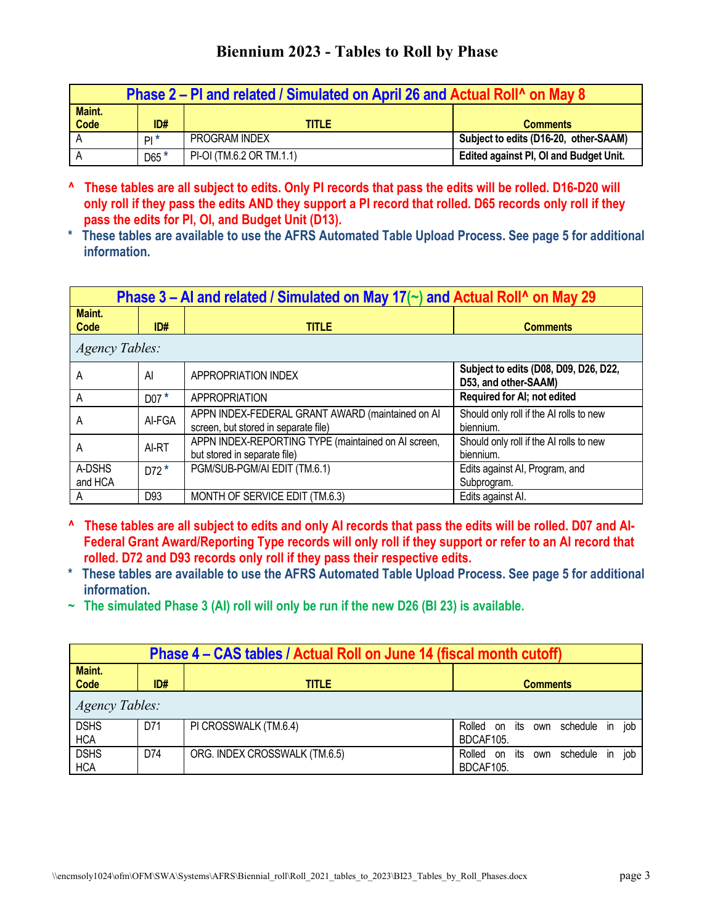| Phase 2 – PI and related / Simulated on April 26 and Actual Roll <sup>1</sup> on May 8 |                 |                          |                                               |
|----------------------------------------------------------------------------------------|-----------------|--------------------------|-----------------------------------------------|
| Maint.                                                                                 |                 |                          |                                               |
| <b>Code</b>                                                                            | ID#             | <b>TITLE</b>             | <b>Comments</b>                               |
|                                                                                        | PI <sup>*</sup> | PROGRAM INDEX            | Subject to edits (D16-20, other-SAAM)         |
|                                                                                        | $D65*$          | PI-OI (TM.6.2 OR TM.1.1) | <b>Edited against PI, OI and Budget Unit.</b> |

- **^ These tables are all subject to edits. Only PI records that pass the edits will be rolled. D16-D20 will only roll if they pass the edits AND they support a PI record that rolled. D65 records only roll if they pass the edits for PI, OI, and Budget Unit (D13).**
- **\* These tables are available to use the AFRS Automated Table Upload Process. See page 5 for additional information.**

| Phase 3 – Al and related / Simulated on May 17( $\sim$ ) and Actual Roll <sup>^</sup> on May 29 |                 |                                                                                          |                                                               |
|-------------------------------------------------------------------------------------------------|-----------------|------------------------------------------------------------------------------------------|---------------------------------------------------------------|
| Maint.<br>Code                                                                                  | ID#             | <b>TITLE</b>                                                                             | <b>Comments</b>                                               |
| <b>Agency Tables:</b>                                                                           |                 |                                                                                          |                                                               |
| A                                                                                               | Al              | APPROPRIATION INDEX                                                                      | Subject to edits (D08, D09, D26, D22,<br>D53, and other-SAAM) |
| A                                                                                               | $DO7*$          | APPROPRIATION                                                                            | Required for AI; not edited                                   |
| A                                                                                               | AI-FGA          | APPN INDEX-FEDERAL GRANT AWARD (maintained on AI<br>screen, but stored in separate file) | Should only roll if the AI rolls to new<br>biennium.          |
| A                                                                                               | AI-RT           | APPN INDEX-REPORTING TYPE (maintained on AI screen,<br>but stored in separate file)      | Should only roll if the AI rolls to new<br>biennium.          |
| A-DSHS<br>and HCA                                                                               | $D72*$          | PGM/SUB-PGM/AI EDIT (TM.6.1)                                                             | Edits against AI, Program, and<br>Subprogram.                 |
| A                                                                                               | D <sub>93</sub> | MONTH OF SERVICE EDIT (TM.6.3)                                                           | Edits against Al.                                             |

- **^ These tables are all subject to edits and only AI records that pass the edits will be rolled. D07 and AI-Federal Grant Award/Reporting Type records will only roll if they support or refer to an AI record that rolled. D72 and D93 records only roll if they pass their respective edits.**
- **\* These tables are available to use the AFRS Automated Table Upload Process. See page 5 for additional information.**
- **~ The simulated Phase 3 (AI) roll will only be run if the new D26 (BI 23) is available.**

| Phase 4 – CAS tables / Actual Roll on June 14 (fiscal month cutoff) |     |                               |                                                                |  |  |
|---------------------------------------------------------------------|-----|-------------------------------|----------------------------------------------------------------|--|--|
| Maint.<br>Code                                                      | ID# | <b>TITLE</b>                  | <b>Comments</b>                                                |  |  |
| <b>Agency Tables:</b>                                               |     |                               |                                                                |  |  |
| <b>DSHS</b><br><b>HCA</b>                                           | D71 | PI CROSSWALK (TM.6.4)         | in job<br>Rolled on<br>schedule<br>its<br>own<br>BDCAF105.     |  |  |
| <b>DSHS</b><br><b>HCA</b>                                           | D74 | ORG. INDEX CROSSWALK (TM.6.5) | iob<br>Rolled on<br>schedule<br>its<br>in.<br>own<br>BDCAF105. |  |  |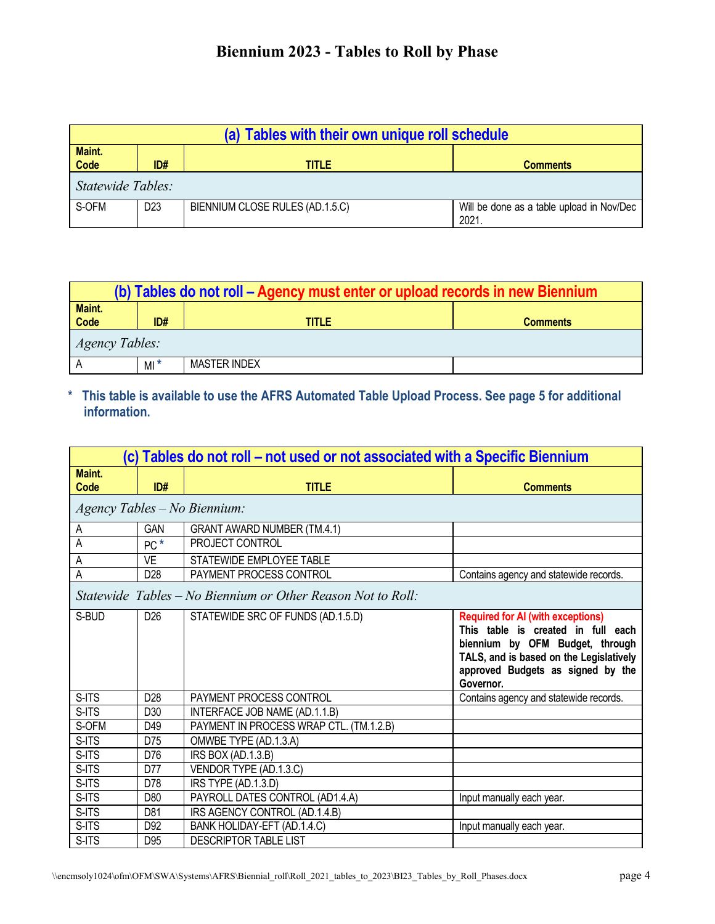| (a) Tables with their own unique roll schedule |                 |                                 |                                                   |
|------------------------------------------------|-----------------|---------------------------------|---------------------------------------------------|
| Maint.<br>Code                                 | ID#             | <b>TITLE</b>                    | <b>Comments</b>                                   |
| Statewide Tables:                              |                 |                                 |                                                   |
| S-OFM                                          | D <sub>23</sub> | BIENNIUM CLOSE RULES (AD.1.5.C) | Will be done as a table upload in Nov/Dec<br>2021 |

| (b) Tables do not roll – Agency must enter or upload records in new Biennium |       |              |                 |
|------------------------------------------------------------------------------|-------|--------------|-----------------|
| Maint.<br>Code                                                               | ID#   | TITLE        | <b>Comments</b> |
| <i>Agency Tables:</i>                                                        |       |              |                 |
|                                                                              | $M^*$ | MASTER INDEX |                 |

**\* This table is available to use the AFRS Automated Table Upload Process. See page 5 for additional information.**

| (c) Tables do not roll – not used or not associated with a Specific Biennium |                 |                                                             |                                                                                                                                                                                                                |
|------------------------------------------------------------------------------|-----------------|-------------------------------------------------------------|----------------------------------------------------------------------------------------------------------------------------------------------------------------------------------------------------------------|
| Maint.<br><b>Code</b>                                                        | ID#             | <b>TITLE</b>                                                | <b>Comments</b>                                                                                                                                                                                                |
|                                                                              |                 | Agency Tables - No Biennium:                                |                                                                                                                                                                                                                |
| А                                                                            | <b>GAN</b>      | <b>GRANT AWARD NUMBER (TM.4.1)</b>                          |                                                                                                                                                                                                                |
| A                                                                            | $PC^*$          | PROJECT CONTROL                                             |                                                                                                                                                                                                                |
| A                                                                            | <b>VE</b>       | STATEWIDE EMPLOYEE TABLE                                    |                                                                                                                                                                                                                |
| A                                                                            | D <sub>28</sub> | PAYMENT PROCESS CONTROL                                     | Contains agency and statewide records.                                                                                                                                                                         |
|                                                                              |                 | Statewide Tables – No Biennium or Other Reason Not to Roll: |                                                                                                                                                                                                                |
| S-BUD                                                                        | D <sub>26</sub> | STATEWIDE SRC OF FUNDS (AD.1.5.D)                           | <b>Required for AI (with exceptions)</b><br>This table is created in full each<br>biennium by OFM Budget, through<br>TALS, and is based on the Legislatively<br>approved Budgets as signed by the<br>Governor. |
| S-ITS                                                                        | D <sub>28</sub> | PAYMENT PROCESS CONTROL                                     | Contains agency and statewide records.                                                                                                                                                                         |
| S-ITS                                                                        | D <sub>30</sub> | INTERFACE JOB NAME (AD.1.1.B)                               |                                                                                                                                                                                                                |
| S-OFM                                                                        | D49             | PAYMENT IN PROCESS WRAP CTL. (TM.1.2.B)                     |                                                                                                                                                                                                                |
| S-ITS                                                                        | D75             | OMWBE TYPE (AD.1.3.A)                                       |                                                                                                                                                                                                                |
| S-ITS                                                                        | D76             | IRS BOX (AD.1.3.B)                                          |                                                                                                                                                                                                                |
| S-ITS                                                                        | D77             | VENDOR TYPE (AD.1.3.C)                                      |                                                                                                                                                                                                                |
| S-ITS                                                                        | D78             | IRS TYPE (AD.1.3.D)                                         |                                                                                                                                                                                                                |
| S-ITS                                                                        | D80             | PAYROLL DATES CONTROL (AD1.4.A)                             | Input manually each year.                                                                                                                                                                                      |
| S-ITS                                                                        | D81             | IRS AGENCY CONTROL (AD.1.4.B)                               |                                                                                                                                                                                                                |
| S-ITS                                                                        | D92             | BANK HOLIDAY-EFT (AD.1.4.C)                                 | Input manually each year.                                                                                                                                                                                      |
| S-ITS                                                                        | D <sub>95</sub> | DESCRIPTOR TABLE LIST                                       |                                                                                                                                                                                                                |